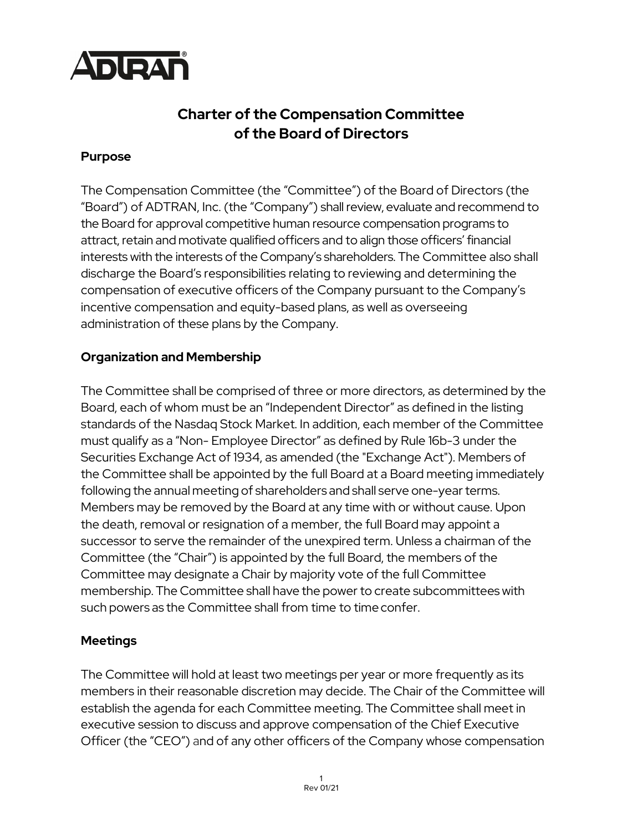

# **Charter of the Compensation Committee of the Board of Directors**

### **Purpose**

The Compensation Committee (the "Committee") of the Board of Directors (the "Board") of ADTRAN, Inc. (the "Company") shall review, evaluate and recommend to the Board for approval competitive human resource compensation programs to attract, retain and motivate qualified officers and to align those officers' financial interests with the interests of the Company's shareholders. The Committee also shall discharge the Board's responsibilities relating to reviewing and determining the compensation of executive officers of the Company pursuant to the Company's incentive compensation and equity-based plans, as well as overseeing administration of these plans by the Company.

## **Organization and Membership**

The Committee shall be comprised of three or more directors, as determined by the Board, each of whom must be an "Independent Director" as defined in the listing standards of the Nasdaq Stock Market. In addition, each member of the Committee must qualify as a "Non- Employee Director" as defined by Rule 16b-3 under the Securities Exchange Act of 1934, as amended (the "Exchange Act"). Members of the Committee shall be appointed by the full Board at a Board meeting immediately following the annual meeting of shareholders and shall serve one-yearterms. Members may be removed by the Board at any time with or without cause. Upon the death, removal or resignation of a member, the full Board may appoint a successor to serve the remainder of the unexpired term. Unless a chairman of the Committee (the "Chair") is appointed by the full Board, the members of the Committee may designate a Chair by majority vote of the full Committee membership. The Committee shall have the power to create subcommittees with such powers as the Committee shall from time to timeconfer.

## **Meetings**

The Committee will hold at least two meetings per year or more frequently as its members in their reasonable discretion may decide. The Chair of the Committee will establish the agenda for each Committee meeting. The Committee shall meet in executive session to discuss and approve compensation of the Chief Executive Officer (the "CEO") and of any other officers of the Company whose compensation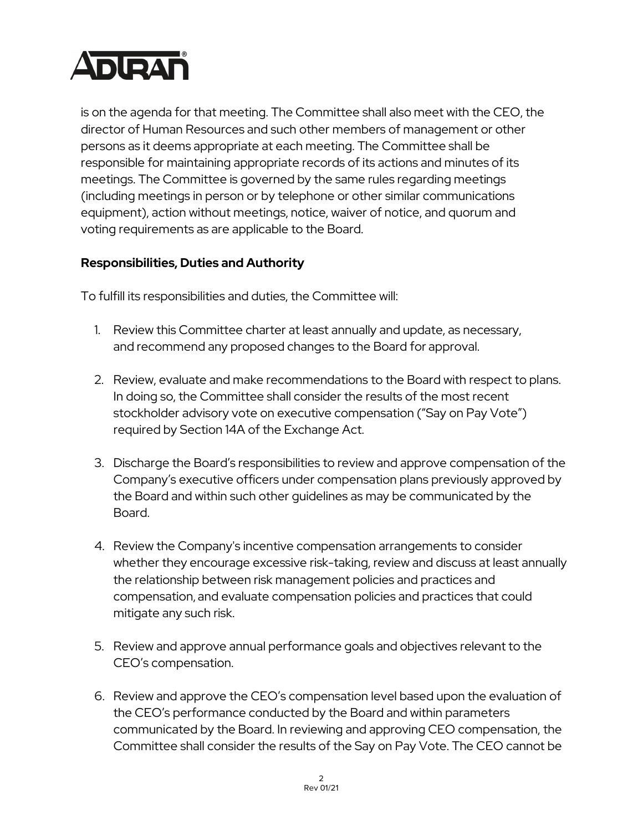

is on the agenda for that meeting. The Committee shall also meet with the CEO, the director of Human Resources and such other members of management or other persons as it deems appropriate at each meeting. The Committee shall be responsible for maintaining appropriate records of its actions and minutes of its meetings. The Committee is governed by the same rules regarding meetings (including meetings in person or by telephone or other similar communications equipment), action without meetings, notice, waiver of notice, and quorum and voting requirements as are applicable to the Board.

## **Responsibilities, Duties and Authority**

To fulfill its responsibilities and duties, the Committee will:

- 1. Review this Committee charter at least annually and update, as necessary, and recommend any proposed changes to the Board for approval.
- 2. Review, evaluate and make recommendations to the Board with respect to plans. In doing so, the Committee shall consider the results of the most recent stockholder advisory vote on executive compensation ("Say on Pay Vote") required by Section 14A of the Exchange Act.
- 3. Discharge the Board's responsibilities to review and approve compensation of the Company's executive officers under compensation plans previously approved by the Board and within such other guidelines as may be communicated by the Board.
- 4. Review the Company's incentive compensation arrangements to consider whether they encourage excessive risk-taking, review and discuss at least annually the relationship between risk management policies and practices and compensation, and evaluate compensation policies and practices that could mitigate any such risk.
- 5. Review and approve annual performance goals and objectives relevant to the CEO's compensation.
- 6. Review and approve the CEO's compensation level based upon the evaluation of the CEO's performance conducted by the Board and within parameters communicated by the Board. In reviewing and approving CEO compensation, the Committee shall consider the results of the Say on Pay Vote. The CEO cannot be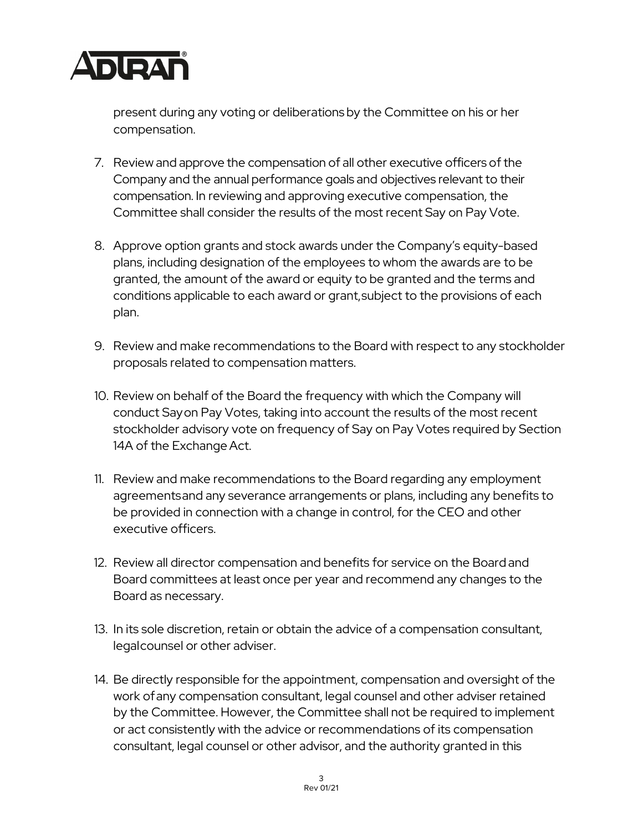

present during any voting or deliberations by the Committee on his or her compensation.

- 7. Review and approve the compensation of all other executive officers of the Company and the annual performance goals and objectives relevant to their compensation. In reviewing and approving executive compensation, the Committee shall consider the results of the most recent Say on Pay Vote.
- 8. Approve option grants and stock awards under the Company's equity-based plans, including designation of the employees to whom the awards are to be granted, the amount of the award or equity to be granted and the terms and conditions applicable to each award or grant,subject to the provisions of each plan.
- 9. Review and make recommendations to the Board with respect to any stockholder proposals related to compensation matters.
- 10. Review on behalf of the Board the frequency with which the Company will conduct Sayon Pay Votes, taking into account the results of the most recent stockholder advisory vote on frequency of Say on Pay Votes required by Section 14A of the Exchange Act.
- 11. Review and make recommendations to the Board regarding any employment agreementsand any severance arrangements or plans, including any benefits to be provided in connection with a change in control, for the CEO and other executive officers.
- 12. Review all director compensation and benefits for service on the Board and Board committees at least once per year and recommend any changes to the Board as necessary.
- 13. In its sole discretion, retain or obtain the advice of a compensation consultant, legalcounsel or other adviser.
- 14. Be directly responsible for the appointment, compensation and oversight of the work ofany compensation consultant, legal counsel and other adviser retained by the Committee. However, the Committee shall not be required to implement or act consistently with the advice or recommendations of its compensation consultant, legal counsel or other advisor, and the authority granted in this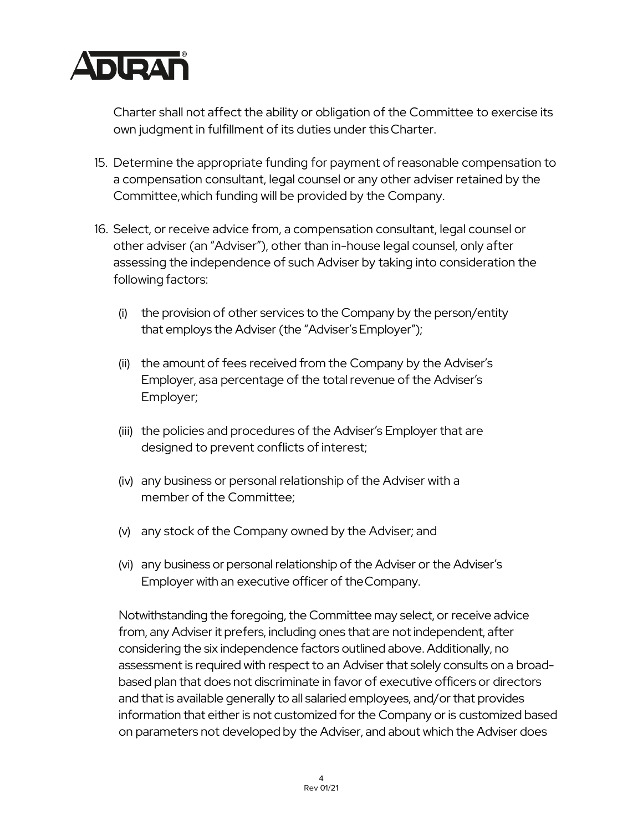

Charter shall not affect the ability or obligation of the Committee to exercise its own judgment in fulfillment of its duties under this Charter.

- 15. Determine the appropriate funding for payment of reasonable compensation to a compensation consultant, legal counsel or any other adviser retained by the Committee,which funding will be provided by the Company.
- 16. Select, or receive advice from, a compensation consultant, legal counsel or other adviser (an "Adviser"), other than in-house legal counsel, only after assessing the independence of such Adviser by taking into consideration the following factors:
	- (i) the provision of other services to the Company by the person/entity that employs the Adviser (the "Adviser'sEmployer");
	- (ii) the amount of fees received from the Company by the Adviser's Employer, asa percentage of the total revenue of the Adviser's Employer;
	- (iii) the policies and procedures of the Adviser's Employer that are designed to prevent conflicts of interest;
	- (iv) any business or personal relationship of the Adviser with a member of the Committee;
	- (v) any stock of the Company owned by the Adviser; and
	- (vi) any business or personal relationship of the Adviser or the Adviser's Employer with an executive officer of theCompany.

Notwithstanding the foregoing, the Committee may select, or receive advice from, any Adviser it prefers, including ones that are not independent, after considering the six independence factors outlined above. Additionally, no assessment is required with respect to an Adviser that solely consults on a broadbased plan that does not discriminate in favor of executive officers or directors and that is available generally to all salaried employees, and/or that provides information that either is not customized for the Company or is customized based on parameters not developed by the Adviser, and about which the Adviser does